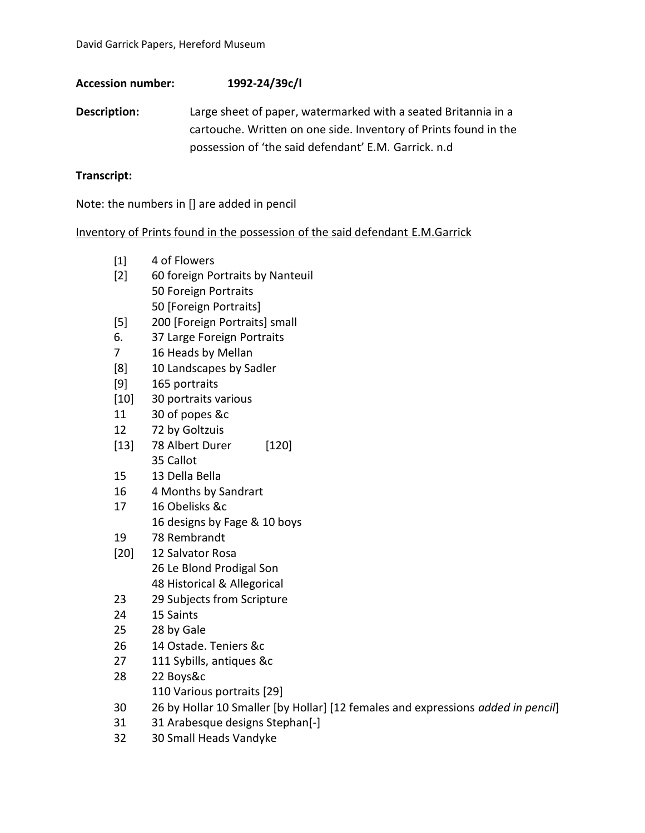## **Accession number: 1992-24/39c/l**

**Description:** Large sheet of paper, watermarked with a seated Britannia in a cartouche. Written on one side. Inventory of Prints found in the possession of 'the said defendant' E.M. Garrick. n.d

## **Transcript:**

Note: the numbers in [] are added in pencil

## Inventory of Prints found in the possession of the said defendant E.M.Garrick

- [1] 4 of Flowers
- [2] 60 foreign Portraits by Nanteuil 50 Foreign Portraits 50 [Foreign Portraits]
- [5] 200 [Foreign Portraits] small
- 6. 37 Large Foreign Portraits
- 7 16 Heads by Mellan
- [8] 10 Landscapes by Sadler
- [9] 165 portraits
- [10] 30 portraits various
- 11 30 of popes &c
- 12 72 by Goltzuis
- [13] 78 Albert Durer [120] 35 Callot
- 15 13 Della Bella
- 16 4 Months by Sandrart
- 17 16 Obelisks &c 16 designs by Fage & 10 boys
- 19 78 Rembrandt
- [20] 12 Salvator Rosa 26 Le Blond Prodigal Son 48 Historical & Allegorical
- 23 29 Subjects from Scripture
- 24 15 Saints
- 25 28 by Gale
- 26 14 Ostade. Teniers &c
- 27 111 Sybills, antiques &c
- 28 22 Boys&c
	- 110 Various portraits [29]
- 30 26 by Hollar 10 Smaller [by Hollar] [12 females and expressions *added in pencil*]
- 31 31 Arabesque designs Stephan[-]
- 32 30 Small Heads Vandyke